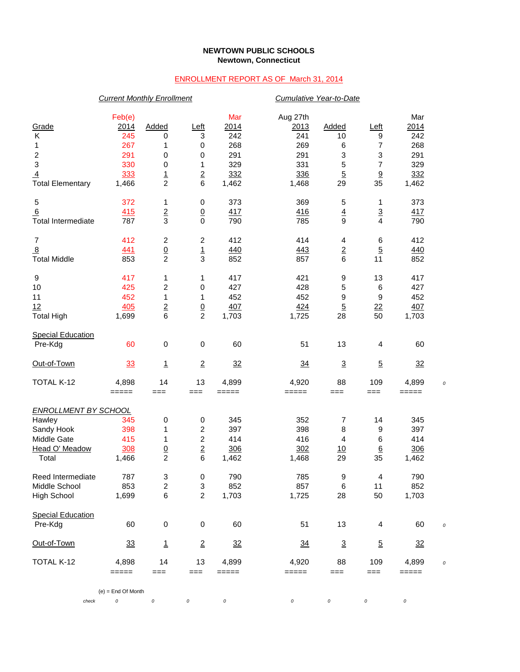## **NEWTOWN PUBLIC SCHOOLS Newtown, Connecticut**

## ENROLLMENT REPORT AS OF March 31, 2014

|                             | <b>Current Monthly Enrollment</b> |                         |                  |       | Cumulative Year-to-Date |                |                 |                |  |
|-----------------------------|-----------------------------------|-------------------------|------------------|-------|-------------------------|----------------|-----------------|----------------|--|
|                             | Feb(e)                            |                         |                  | Mar   | Aug 27th                |                |                 | Mar            |  |
| Grade                       | 2014                              | Added                   | Left             | 2014  | 2013                    | Added          | <u>Left</u>     | 2014           |  |
| К                           | 245                               | 0                       | 3                | 242   | 241                     | 10             | 9               | 242            |  |
| 1                           | 267                               | 1                       | $\pmb{0}$        | 268   | 269                     | 6              | 7               | 268            |  |
|                             | 291                               | 0                       | $\pmb{0}$        | 291   | 291                     | 3              | 3               | 291            |  |
| $\frac{2}{3}$               | 330                               | 0                       | 1                | 329   | 331                     | 5              | 7               | 329            |  |
| $\overline{4}$              | 333                               |                         |                  | 332   | 336                     | $\overline{5}$ |                 | 332            |  |
| <b>Total Elementary</b>     | 1,466                             | $\frac{1}{2}$           | $\frac{2}{6}$    | 1,462 | 1,468                   | 29             | $\frac{9}{35}$  | 1,462          |  |
| 5                           | 372                               | 1                       | 0                | 373   | 369                     | 5              | 1               | 373            |  |
| 6                           | 415                               | $\overline{\mathbf{2}}$ | $\underline{0}$  | 417   | 416                     | $\overline{4}$ | $\overline{3}$  | 417            |  |
| <b>Total Intermediate</b>   | 787                               | 3                       | $\mathbf 0$      | 790   | 785                     | 9              | 4               | 790            |  |
| $\overline{7}$              | 412                               | 2                       | $\overline{c}$   | 412   | 414                     | 4              | 6               | 412            |  |
| 8                           | <u>441</u>                        |                         |                  | 440   | 443                     | $\overline{2}$ | $\overline{5}$  | 440            |  |
| <b>Total Middle</b>         | 853                               | $\frac{0}{2}$           | $\frac{1}{3}$    | 852   | 857                     | 6              | 11              | 852            |  |
| 9                           | 417                               | 1                       | 1                | 417   | 421                     | 9              | 13              | 417            |  |
| 10                          | 425                               | 2                       | $\pmb{0}$        | 427   | 428                     | 5              | 6               | 427            |  |
| 11                          | 452                               | 1                       | 1                | 452   | 452                     | 9              | 9               | 452            |  |
| 12                          | 405                               |                         |                  | 407   | 424                     | $\overline{5}$ | $\frac{22}{2}$  | 407            |  |
| <b>Total High</b>           | 1,699                             | $\frac{2}{6}$           | $\frac{0}{2}$    | 1,703 | 1,725                   | 28             | 50              | 1,703          |  |
| <b>Special Education</b>    |                                   |                         |                  |       |                         |                |                 |                |  |
| Pre-Kdg                     | 60                                | 0                       | $\pmb{0}$        | 60    | 51                      | 13             | 4               | 60             |  |
| Out-of-Town                 | 33                                | 1                       | $\overline{2}$   | 32    | $\frac{34}{5}$          | $\mathbf 3$    | $\overline{5}$  | 32             |  |
| TOTAL K-12                  | 4,898                             | 14                      | 13               | 4,899 | 4,920                   | 88             | 109             | 4,899          |  |
|                             | $=====$                           | ===                     | $==$             | ===== | $=====$                 | ===            | $==$            | =====          |  |
| <b>ENROLLMENT BY SCHOOL</b> |                                   |                         |                  |       |                         |                |                 |                |  |
| Hawley                      | 345                               | 0                       | $\pmb{0}$        | 345   | 352                     | 7              | 14              | 345            |  |
| Sandy Hook                  | 398                               | 1                       | 2                | 397   | 398                     | 8              | 9               | 397            |  |
| Middle Gate                 | 415                               | 1                       | $\overline{c}$   | 414   | 416                     | 4              | 6               | 414            |  |
| Head O' Meadow              | 308                               | $\overline{0}$          | $\underline{2}$  | 306   | 302                     | 10             | $\underline{6}$ | 306            |  |
| Total                       | 1,466                             | $\overline{2}$          | 6                | 1,462 | 1,468                   | 29             | 35              | 1,462          |  |
| Reed Intermediate           | 787                               | 3                       | $\boldsymbol{0}$ | 790   | 785                     | 9              | 4               | 790            |  |
| Middle School               | 853                               | 2                       | 3                | 852   | 857                     | 6              | 11              | 852            |  |
| <b>High School</b>          | 1,699                             | 6                       | $\boldsymbol{2}$ | 1,703 | 1,725                   | 28             | 50              | 1,703          |  |
| <b>Special Education</b>    |                                   |                         |                  |       |                         |                |                 |                |  |
| Pre-Kdg                     | 60                                | $\pmb{0}$               | $\,0\,$          | 60    | 51                      | 13             | 4               | 60             |  |
| Out-of-Town                 | 33                                | $\mathbf{1}$            | $\overline{2}$   | 32    | $\frac{34}{5}$          | $\overline{3}$ | $\overline{5}$  | $\frac{32}{2}$ |  |
| TOTAL K-12                  | 4,898                             | 14                      | 13               | 4,899 | 4,920                   | 88             | 109             | 4,899          |  |
|                             | =====                             | ===                     | $==$             | ===== | =====                   | ===            | $==$            | =====          |  |
|                             | $(e)$ = End Of Month              |                         |                  |       |                         |                |                 |                |  |
| check                       | 0                                 | 0                       | 0                | 0     | 0                       | 0              | $\cal O$        | 0              |  |